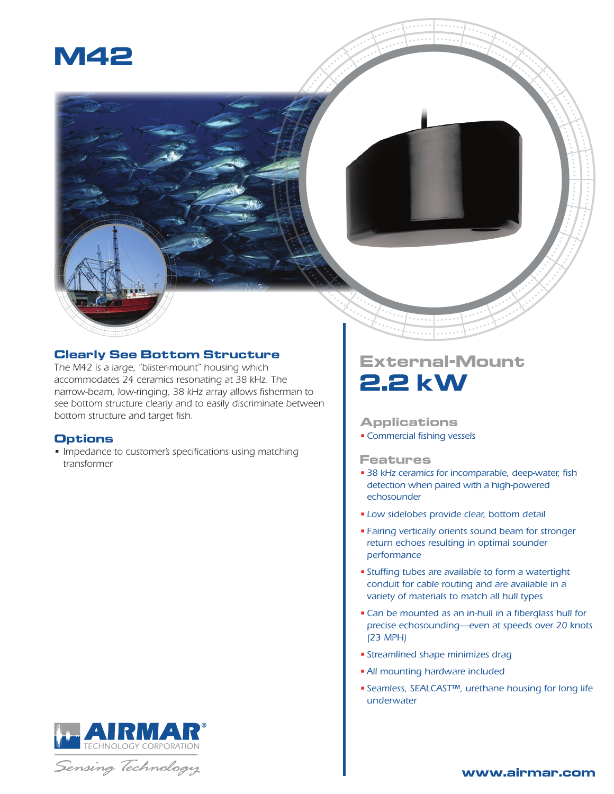

#### **Clearly See Bottom Structure**

*The M42 is a large, "blister-mount" housing which accommodates 24 ceramics resonating at 38 kHz. The narrow-beam, low-ringing, 38 kHz array allows fisherman to see bottom structure clearly and to easily discriminate between bottom structure and target fish.*

#### **Options**

*• Impedance to customer's specifications using matching transformer*

# TECHNOLOGY CORPORATION

Sensing Technology

## **External-Mount 2.2 kW**

#### **Applications**

*•Commercial fishing vessels*

#### **Features**

- *• 38 kHz ceramics for incomparable, deep-water, fish detection when paired with a high-powered echosounder*
- *• Low sidelobes provide clear, bottom detail*
- *• Fairing vertically orients sound beam for stronger return echoes resulting in optimal sounder performance*
- *• Stuffing tubes are available to form a watertight conduit for cable routing and are available in a variety of materials to match all hull types*
- *•Can be mounted as an in-hull in a fiberglass hull for precise echosounding—even at speeds over 20 knots (23 MPH)*
- *• Streamlined shape minimizes drag*
- *•All mounting hardware included*
- *• Seamless, SEALCAST™, urethane housing for long life underwater*

#### **www.airmar.com**